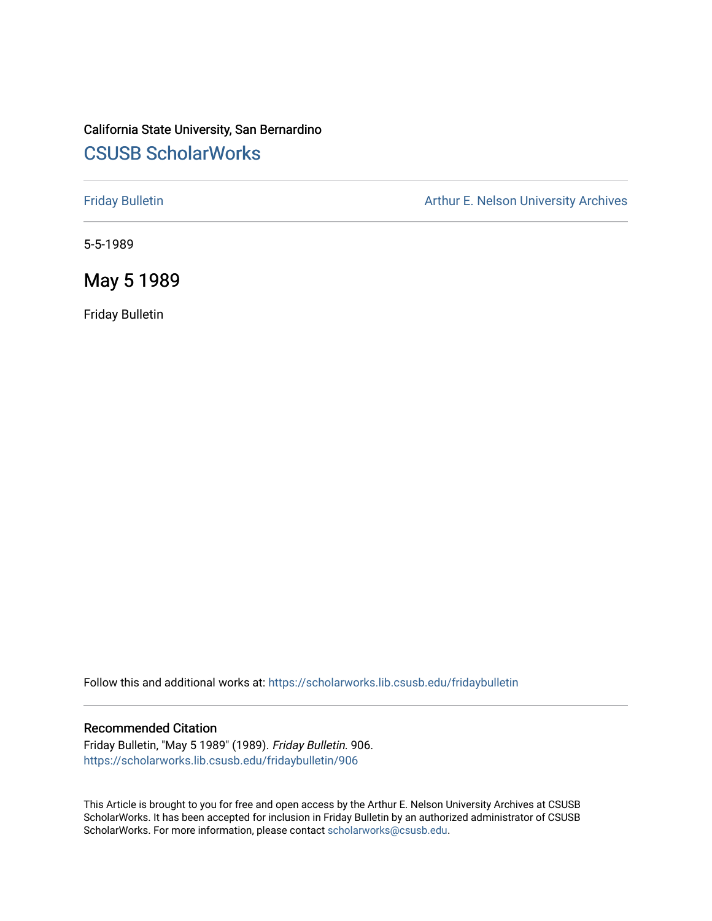### California State University, San Bernardino [CSUSB ScholarWorks](https://scholarworks.lib.csusb.edu/)

[Friday Bulletin](https://scholarworks.lib.csusb.edu/fridaybulletin) **Arthur E. Nelson University Archives** Arthur E. Nelson University Archives

5-5-1989

May 5 1989

Friday Bulletin

Follow this and additional works at: [https://scholarworks.lib.csusb.edu/fridaybulletin](https://scholarworks.lib.csusb.edu/fridaybulletin?utm_source=scholarworks.lib.csusb.edu%2Ffridaybulletin%2F906&utm_medium=PDF&utm_campaign=PDFCoverPages)

### Recommended Citation

Friday Bulletin, "May 5 1989" (1989). Friday Bulletin. 906. [https://scholarworks.lib.csusb.edu/fridaybulletin/906](https://scholarworks.lib.csusb.edu/fridaybulletin/906?utm_source=scholarworks.lib.csusb.edu%2Ffridaybulletin%2F906&utm_medium=PDF&utm_campaign=PDFCoverPages)

This Article is brought to you for free and open access by the Arthur E. Nelson University Archives at CSUSB ScholarWorks. It has been accepted for inclusion in Friday Bulletin by an authorized administrator of CSUSB ScholarWorks. For more information, please contact [scholarworks@csusb.edu.](mailto:scholarworks@csusb.edu)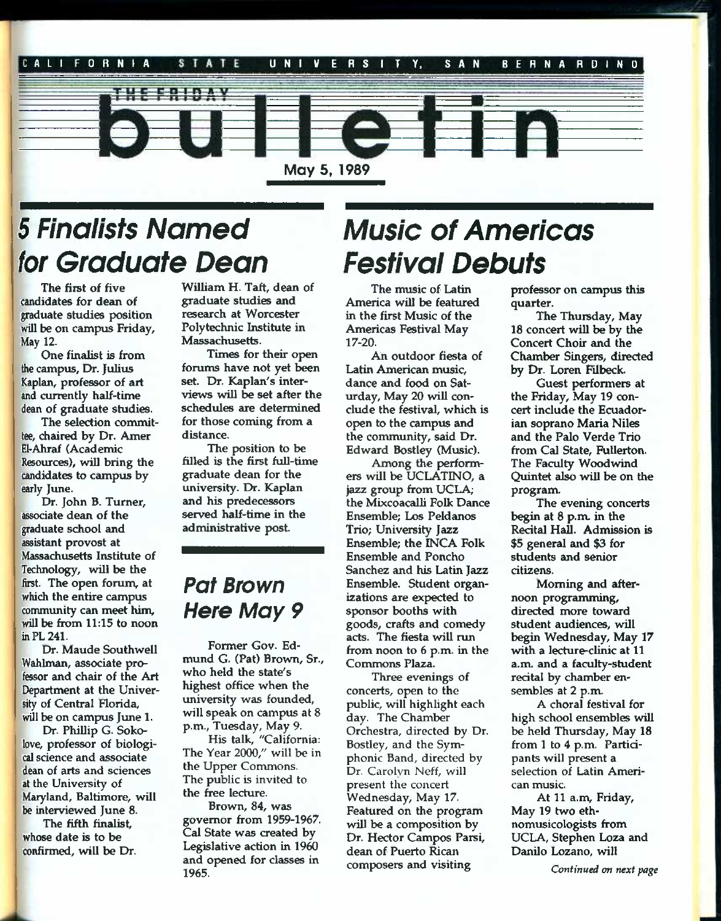

# 5 *Finalists Named Music of Americas for Graduate Dean Festival Debuts*

The first of five candidates for dean of graduate studies position will be on campus Friday, May 12.

One finalist is from the campus. Dr. Julius Kaplan, professor of art and currently half-time dean of graduate studies.

The selection committee, chaired by Dr. Amer EI-Ahraf (Academic Resources), will bring the candidates to campus by early June.

Dr. John B. Turner, associate dean of the graduate school and assistant provost at Massachusetts Institute of Technology, will be the hrst. The open forum, at which the entire campus community can meet him, will be from 11:15 to noon in PL 241.

Dr. Maude Southwell Wahlman, associate professor and chair of the Art Department at the University of Central Florida, will be on campus June 1.

Dr. Phillip G. Sokolove, professor of biological science and associate dean of arts and sciences at the University of Maryland, Baltimore, will be interviewed June 8.

The fifth finalist, whose date is to be confirmed, will be Dr.

William H. Taft, dean of graduate studies and research at Worcester Polytechnic Institute in Massachusetts.

Times for their open forums have not yet been set. Dr. Kaplan's interviews will be set after the schedules are determined for those coming from a distance.

The position to be filled is the first full-time graduate dean for the university. Dr. Kaplan and his predecessors served half-time in the administrative post.

# *Pat Brown Here May 9*

Former Gov. Edmund G. (Pat) Brown, Sr., who held the state's highest office when the university was founded, will speak on campus at 8 p.m., Tuesday, May 9.

His talk, "California: The Year 2000," will be in the Upper Commons. The public is invited to the free lecture.

Brown, 84, was governor from 1959-1967. Cal State was created by Legislative action in 1960 and opened for classes in 1965.

The music of Latin America will be featured in the first Music of the Americas Festival May 17-20.

An outdoor fiesta of Latin American music, dance and food on Saturday, May 20 will conclude the festival, which is open to the campus and the community, said Dr. Edward Bostley (Music).

Among the performers will be UCLATINO, a jazz group from UCLA; the Mixcoacalli Folk Dance Ensemble; Los Peldanos Trio; University Jazz Ensemble; the INCA Folk Ensemble and Poncho Sanchez and his Latin Jazz Ensemble. Student organizations are expected to sponsor booths with goods, crafts and comedy acts. The fiesta will run from noon to 6 p.m. in the Commons Plaza.

Three evenings of concerts, open to the public, will highlight each day. The Chamber Orchestra, directed by Dr. Bostley, and the Symphonic Band, directed by Dr. Carolvn Neff, will present the concert Wednesday, May 17. Featured on the program will be a composition by Dr. Hector Campos Parsi, dean of Puerto Rican composers and visiting

professor on campus this quarter.

The Thursday, May 18 concert wiU be by the Concert Choir and the Chamber Singers, directed by Dr. Loren Filbeck.

Guest performers at the Friday, May 19 concert include the Ecuadorian soprano Maria Niles and the Palo Verde Trio from Cal State, Fullerton. The Faculty Woodwind Quintet also will be on the program.

The evening concerts begin at 8 p.m. in the Recital Hall. Admission is \$5 general and \$3 for students and senior citizens.

Moming and afternoon programming, directed more toward student audiences, will begin Wednesday, May 17 with a lecture-clinic at 11 a.m. and a faculty-student recital by chamber ensembles at 2 p.m.

A choral festival for high school ensembles will be held Thursday, May 18 from 1 to 4 p.m. Participants will present a selection of Latin American music.

At 11 a.m, Friday, May 19 two ethnomusicologists from UCLA, Stephen Loza and Danilo Lozano, will

*Continued on next page*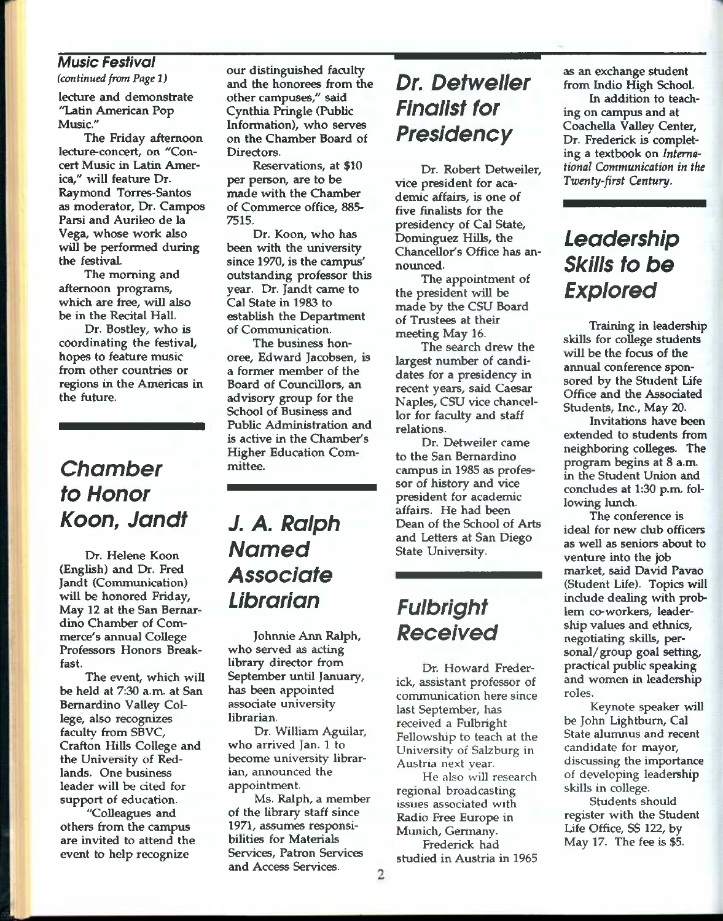### *Music Festival*

*(continued from Page 1)* 

lecture and demonstrate "Latin American Pop Music."

The Friday afternoon lecture-concert, on "Concert Music in Latin America," will feature Dr. Raymond Torres-Santos as moderator. Dr. Campos Parsi and Aurileo de la Vega, whose work also will be performed during the festival.

The morning and afternoon programs, which are free, will also be in the Recital Hall.

Dr. Bostley, who is coordinating the festival, hopes to feature music from other countries or regions in the Americas in the future.

# *Chamber to Honor Koon, Jandf*

Dr. Helene Koon (English) and Dr. Fred Jandt (Communication) will be honored Friday, May 12 at the San Bernardino Chamber of Commerce's annual College Professors Honors Breakfast.

The event, which will *be* held at 7:30 a.m. at San Bernardino Valley College, also recognizes faculty from SBVC, Crafton Hills College and the University of Redlands. One business leader will be cited for support of education.

"Colleagues and others from the campus are invited to attend the event to help recognize

our distinguished faculty and the honorees from the other campuses," said Cynthia Pringle (Public Information), who serves on the Chamber Board of Directors.

Reservations, at \$10 per person, are to be made with the Chamber of Commerce office, 885- 7515.

Dr. Koon, who has been with the university since 1970, is the campus' outstanding professor this year. Dr. Jandt came to Cal State in 1983 to establish the Department of Communication.

The business honoree, Edward Jacobsen, is a former member of the Board of Councillors, an advisory group for the School of Business and Public Administration and is active in the Chamber's Higher Education Committee.

# *J. A. Ralph Named Associate Librarian*

Johnnie Ann Ralph, who served as acting library director from September until January, has been appointed associate university librarian.

Dr. William Aguilar, who arrived Jan. 1 to become university librarian, announced the appointment.

Ms. Ralph, a member of the library staff since 1971, assumes responsibilities for Materials Services, Patron Services and Access Services.

# *Dr. Detweller Finalist for Presidency*

Dr. Robert Detweiler, vice president for academic affairs, is one of five finalists for the presidency of Cal State, Dominguez Hills, the Chancellor's Office has announced.

The appointment of the president will be made by the CSU Board of Trustees at their meeting May 16.

The search drew the largest number of candidates for a presidency in recent years, said Caesar Naples, CSU vice chancellor for faculty and staff relations.

Dr. Detweiler came to the San Bernardino campus in 1985 as professor of history and vice president for academic affairs. He had been Dean of the School of Arts and Letters at San Diego State University.

# *Fulbrlght Received*

Dr. Howard Frederick, assistant professor of communication here since last September, has received a Fulbright Fellowship to teach at the University of Salzburg in Austria next year.

He also will research regional broadcasting issues associated with Radio Free Europe in Munich, Germany. Frederick had

studied in Austria in 1965

as an exchange student from Indio High School.

In addition to teaching on campus and at Coachella Valley Center, Dr. Frederick is completing a textbook on *International Communication in the Twenty-first Century.* 

# *Leadership Skills to be Explored*

Training in leadership skills for college students will be the focus of the annual conference sponsored by the Student Life Office and the Associated Students, Inc., May 20.

Invitations have been extended to students from neighboring colleges. The program begins at 8 a.m. in the Student Union and concludes at 1:30 p.m. following lunch.

The conference is ideal for new club officers as well as seniors about to venture into the job market, said David Pavao (Student Life). Topics will include dealing with problem co-workers, leadership values and ethnics, negotiating skills, personal/group goal setting, practical public speaking and women in leadership roles.

Keynote speaker will be John Lightburn, Cal State alumnus and recent candidate for mayor, discussing the importance of developing leadership skills in college.

Students should register with the Student Life Office, SS 122, by May 17. The fee is \$5.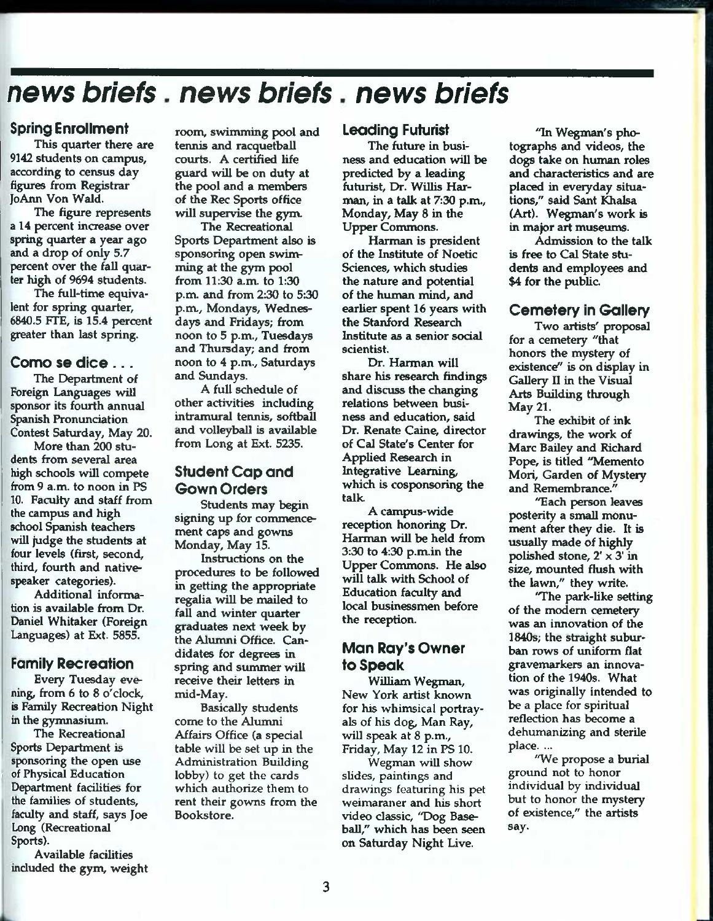# *news briefs news briefs news briefs*

### Spring Enrollment

This quarter there are 9142 students on campus, according to census day figures from Registrar ]oAnn Von Waid.

The figure represents a 14 percent increase over spring quarter a year ago and a drop of only 5.7 percent over the fall quarter high of 9694 students.

The full-time equivalent for spring quarter, 6840.5 FTE, is 15.4 percent greater than last spring.

### Como se dice . . .

The Department of Foreign Languages will sponsor its fourth annual Spanish Pronunciation Contest Saturday, May 20.

More than 200 students from several area high schools will compete from 9 a.m. to noon in PS 10. Faculty and staff from the campus and high school Spanish teachers will judge the students at four levels (first, second, third, fourth and nativespeaker categories).

Additional information is available from Dr. Daniel Whitaker (Foreign Languages) at Ext. 5855.

### Family Recreation

Every Tuesday evening, from 6 to 8 o'clock, is Family Recreation Night in the gymnasium.

The Recreational Sports Department is sponsoring the open use of Physical Education Department facilities for the families of students, faculty and staff, says Joe Long (Recreational Sports).

Available facilities included the gym, weight

room, swimming pool and tennis and racquetball courts. A certified life guard will be on duty at the pool and a members of the Rec Sports office will supervise the gym.

The Recreational Sports Department also is sponsoring open swimming at the gym pool from 11:30 a.m to 1:30 p.m. and from 230 to 5:30 p.m, Mondays, Wednesdays and Fridays; from noon to 5 p.m., Tuesdays and Thursday; and from noon to 4 p.m., Saturdays and Sundays.

A full schedule of other activities including intramural tennis, Softball and volleyball is available from Long at Ext. 5235.

### Student Cop end Gown Orders

Students may begin signing up for commencement caps and gowns Monday, May 15.

Instructions on the procedures to be followed in getting the appropriate regalia will be mailed to fall and winter quarter graduates next week by the Alumni Office. Candidates for degrees in spring and summer will receive their letters in mid-May.

Basically students come to the Alumni Affairs Office (a special table will be set up in the Administration Building lobby) to get the cards which authorize them to rent their gowns from the Bookstore.

#### Leading Futurist

The future in business and education will be predicted by a leading futurist. Dr. Willis Harman, in a talk at 7:30 p.m., Monday, May 8 in the Upper Commons.

Harman is president of the Institute of Noetic Sciences, which studies the nature and potential of the human mind, and earlier spent 16 years with the Stanford Research Institute as a senior social scientist.

Dr. Harman will share his research findings and discuss the changing relations between business and education, said Dr. Renate Caine, director of Cal State's Center for Applied Research in Integrative Learning, which is cosponsoring the talk.

A campus-wide reception honoring Dr. Harman will be held from 3:30 to 4:30 p.m.in the Upper Commons. He also will talk with School of Education faculty and local businessmen before the reception.

### Man Ray's Owner to Speak

William Wegman, New York artist known for his whimsical portrayals of his dog, Man Ray, will speak at 8 p.m., Friday, May 12 in PS 10.

Wegman will show slides, paintings and drawings featuring his pet weimaraner and his short video classic, "Dog Baseball," which has been seen on Saturday Night Live.

"In Wegman's photographs and videos, the dogs take on human roles and characteristics and are placed in everyday situations," said Sant Khalsa (Art). Wegman's work is in major art museums.

Admission to the talk is free to Cal State students and employees and \$4 for the public.

### Cemetery in Gallery

Two artists' proposal for a cemetery "that honors the mystery of existence" is on display in Gallery II in the Visual Arts Building through May 21.

The exhibit of ink drawings, the work of Marc Bailey and Richard Pope, is titled "Memento Mori, Garden of Mystery and Remembrance."

"Each person leaves posterity a small monument after they die. It is usually made of highly polished stone,  $2' \times 3'$  in size, mounted flush with the lawn," they write.

'The park-like setting of the modem cemetery was an innovation of the 1840s; the straight suburban rows of uniform flat gravemarkers an innovation of the 1940s. What was originally intended to be a place for spiritual reflection has become a dehumanizing and sterile place. ...

"We propose a burial ground not to honor individual by individual but to honor the mystery of existence," the artists say.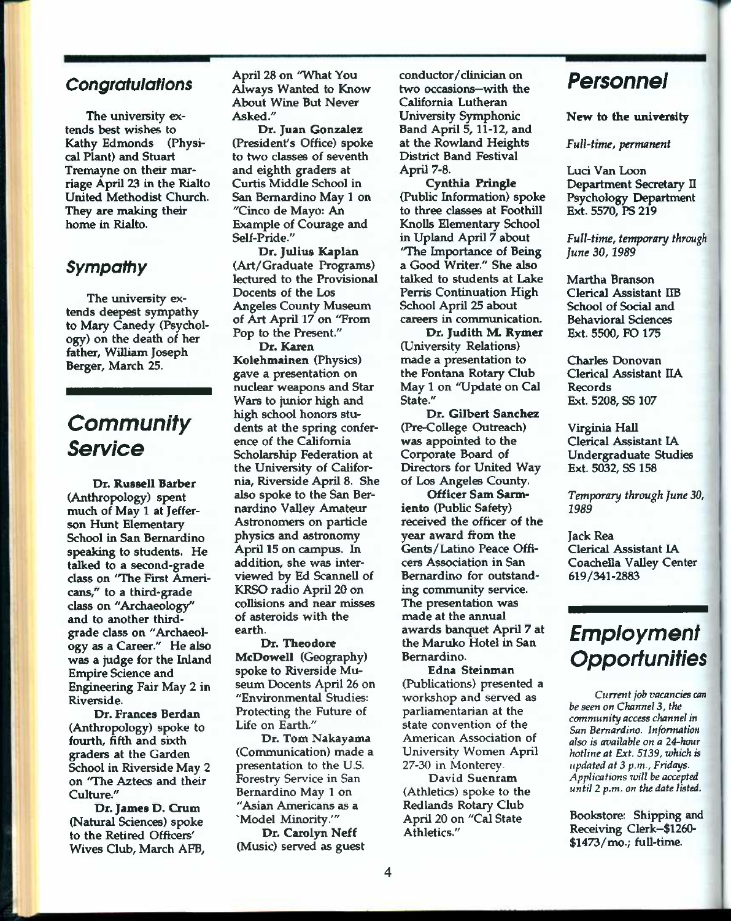### *Congratulations*

The university extends best wishes to Kathy Edmonds (Physical Plant) and Stuart Tremayne on their marriage April 23 in the Rialto United Methodist Church. They are making their home in Rialto.

### *Sympattiy*

The university extends deepest sympathy to Mary Canedy (Psychology) on the death of her father, William Joseph Berger, March 25.

# *Community Service*

Dr. Russell Barber (Anthropology) spent much of May 1 at Jefferson Hunt Elementary School in San Bernardino speaking to students. He talked to a second-grade class on 'The First Americans/' to a third-grade class on "Archaeology" and to another thirdgrade class on "Archaeology as a Career." He also was a judge for the Inland Empire Science and Engineering Fair May 2 in Riverside.

Dr. Frances Berdan (Anthropology) spoke to fourth, fifth and sixth graders at the Garden School in Riverside May 2 on 'The Aztecs and their Culture."

Dr. James D. Crum (Natural Sciences) spoke to the Retired Officers' Wives Club, March AFB,

April 28 on "What You Always Wanted to Know About Wine But Never Asked."

Dr. Juan Gonzalez (President's Office) spoke to two classes of seventh and eighth graders at Curtis Middle School in San Bernardino May 1 on "Cinco de Mayo: An Example of Courage and Self-Pride."

Dr. Julius Kaplan (Art/Graduate Programs) lectured to the Provisional Docents of the Los Angeles Coimty Museum of Art April 17 on "From Pop to the Present."

Dr. Karen Kolehmainen (Physics) gave a presentation on nuclear weapons and Star Wars to junior high and high school honors students at the spring conference of the California Scholarship Federation at the University of California, Riverside April 8. She also spoke to the San Bernardino Valley Amateur Astronomers on particle physics and astronomy April 15 on campus, in addition, she was interviewed by Ed Scannell of KRSO radio April 20 on collisions and near misses of asteroids with the earth.

Dr. Theodore McDowell (Geography) spoke to Riverside Museum Docents April 26 on "Environmental Studies: Protecting the Future of Life on Earth."

Dr. Tom Nakayama (Communication) made a presentation to the U.S. Forestry Service in San Bernardino May 1 on "Asian Americans as a "Model Minority.'"

Dr. Carolyn Neff (Music) served as guest conductor/clinician on two occasions—with the California Lutheran University Symphonic Band April 5,11-12, and at the Rowland Heights District Band Festival April 7-8.

Cynthia Fringle (Public Information) spoke to three classes at Foothill Knolls Elementary School in Upland April 7 about "The Importance of Being a Good Writer." She also talked to students at Lake Perris Continuation High School April 25 about careers in communication.

Dr. Judith M. Rymer (University Relations) made a presentation to the Fontana Rotary Club May 1 on "Update on Cal State."

Dr. Gilbert Sanchez (Pre-College Outreach) was appointed to the Corporate Board of Directors for United Way of Los Angeles County.

Officer Sam Sarmiento (Public Safety) received the officer of the year award from the Gents/Latino Peace Officers Association in San Bernardino for outstanding community service. The presentation was made at the annual awards banquet April 7 at the Maruko Hotel in San Bernardino.

Edna Steinman (Publications) presented a workshop and served as parliamentarian at the state convention of the American Association of University Women April 27-30 in Monterey.

David Suenram (Athletics) spoke to the Redlands Rotary Club April 20 on "Cal State Athletics."

### *Personnei*

New to the university

*FuU'titne, permanent* 

Luci Van Loon Department Secretary II Psychology Department Ext. 5570, PS 219

*Full-time, temporary through June* 30,1989

Martha Branson Clerical Assistant IIB School of Social and Behavioral Sciences Ext. 5500, FO 175

Charles Donovan Clerical Assistant IIA Records Ext. 5208, SS 107

Virginia Hall Clerical Assistant lA Undergraduate Studies Ext. 5032, SS 158

*Temporary through June* 30, *1989* 

Jack Rea Clerical Assistant lA Coachella Valley Center 619/341-2883

# *Empioyment Opportunities*

*Current job vacancies can be seen on Channel* 3, *the community access channel in San Bernardino. Information also is atyailabie on a 24-hour hotline at Ext. 5139, which is updated at 3 p.m., Fridays. Applications will be accepted until 2 p.m. on the date listed.* 

Bookstore: Shipping and Receiving Clerk~\$1260- \$1473/mo.; full-time.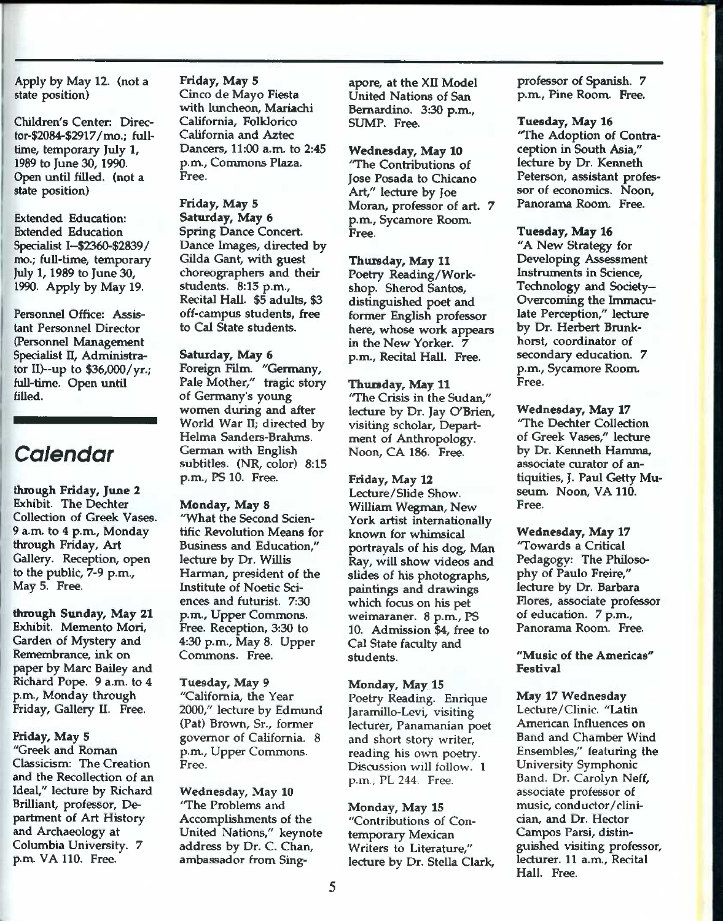Apply by May 12. (not a state position)

Children's Center: Director-\$2084-\$2917/mo.; fulltime, temporary July *1,*  1989 to June 30, 1990. Open until filled, (not a state position)

Extended Education: Extended Education Specialist I--\$2360-\$2839/ mo.; full-time, temporary July 1,1989 to June 30, 1990. Apply by May 19.

Personnel Office: Assistant Personnel Director (Personnel Management Specialist II, Administrator II)~up to \$36,000/yr.; fuU-time. Open until fiUed.

## *Calendar*

through Friday, June 2 Exhibit. The Dechter Collection of Greek Vases. 9 a.m. to 4 p.m., Monday through Friday, Art Gallery. Reception, open to the public, 7-9 p.m.. May 5. Free.

through Sunday, May 21 Exhibit. Memento Mori, Garden of Mystery and Remembrance, ink on paper by Marc Bailey and Richard Pope. 9 a.m. to 4 p.m., Monday through Friday, Gallery II. Free.

#### Friday, May 5

"Greek and Roman Classicism: The Creation and the Recollection of an Ideal," lecture by Richard Brilliant, professor. Department of Art History and Archaeology at Columbia University. 7 p.n\. VA 110. Free.

Friday, May 5 Cinco de Mayo Fiesta with luncheon, Mariachi California, Folklorico California and Aztec Dancers, 11:00 a.m. to 2:45 p.m.. Commons Plaza. Free.

Friday, May 5 Saturday, May 6 Spring Dance Concert. Dance Images, directed by Gilda Gant, with guest choreographers and their students. 8:15 p.m.. Recital Hall. \$5 adults, \$3 off-campus students, free to Cal State students.

#### Saturday, May 6

Foreign Film. "Germany, Pale Mother," tragic story of Germany's young women during and after World War II; directed by Helma Sanders-Brahms. German with English subtitles. (NR, color) 8:15 p.m., PS 10. Free.

### Monday, May 8

"What the Second Scientific Revolution Means for Business and Education," lecture by Dr. Willis Harman, president of the Institute of Noetic Sciences and futurist. 7:30 p.m.. Upper Commons. Free. Reception, 3:30 to 4:30 p.m.. May 8. Upper Commons. Free.

Tuesday, May 9 "California, the Year 2000," lecture by Edmund (Pat) Brown, Sr., former governor of California. 8 p.m.. Upper Commons. Free.

Wednesday, May 10 'The Problems and Accomplishments of the United Nations," keynote address by Dr. C. Chan, ambassador from Singapore, at the XII Model United Nations of San Bernardino. 3:30 p.m., SUMP. Free.

Wednesday, May 10 'The Contributions of Jose Posada to Chicano Art," lecture by Joe Moran, professor of art. 7 p.m.. Sycamore Room. Free.

Thursday, May 11 Poetry Reading/Workshop. Sherod Santos, distinguished poet and former English professor here, whose work appears in the New Yorker. 7 p.m.. Recital Hall. Free.

Thursday, May 11 'The Crisis in the Sudan," lecture by Dr. Jay O'Brien, visiting scholar. Department of Anthropology. Noon, CA 186. Free.

Friday, May 12 Lecture/Slide Show. William Wegman, New York artist internationally known for whimsical portrayals of his dog, Man Ray, will show videos and slides of his photographs, paintings and drawings which focus on his pet weimaraner. 8 p.m, PS 10. Admission \$4, free to Cal State faculty and students.

Monday, May 15 Poetry Reading. Enrique Jaramillo-Levi, visiting lecturer, Panamanian poet and short story writer, reading his own poetry. Discussion will follow. 1 p.m., PL 244. Free.

Monday, May 15 "Contributions of Contemporary Mexican Writers to Literature," lecture by Dr. Stella Clark, professor of Spanish. 7 p.m.. Pine Room Free.

Tuesday, May 16 'The Adoption of Contraception in South Asia," lecture by Dr. Kenneth Peterson, assistant professor of economics. Noon, Panorama Room. Free.

Tuesday, May 16 "A New Strategy for Developing Assessment Instruments in Science, Technology and Society-Overcoming the Immaculate Perception," lecture by Dr. Herbert Brunkhorst, coordinator of secondary education. 7 p.m., Sycamore Room. Free.

Wednesday, May 17 'The Dechter Collection of Greek Vases," lecture by Dr. Kenneth Hamma, associate curator of antiquities, J. Paul Getty Museum. Noon, VA 110. Free.

Wednesday, May 17 'Towards a Critical Pedagogy: The Philosophy of Paulo Freire," lecture by Dr. Barbara Flores, associate professor of education. 7 p.m.. Panorama Room. Free.

"Music of the Americas" Festival

May 17 Wednesday Lecture/Clinic. "Latin American Influences on Band and Chamber Wind Ensembles," featuring the University Symphonic Band. Dr. Carolyn Neff, associate professor of music, conductor/clinician, and Dr. Hector Campos Parsi, distinguished visiting professor, lecturer. 11 a.m., Recital Hall. Free.